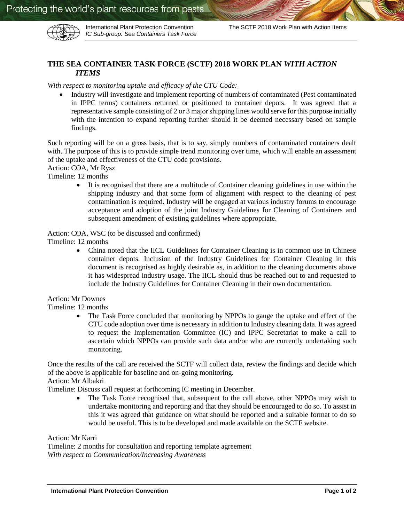

*IC Sub-group: Sea Containers Task Force*

# **THE SEA CONTAINER TASK FORCE (SCTF) 2018 WORK PLAN** *WITH ACTION ITEMS*

### *With respect to monitoring uptake and efficacy of the CTU Code:*

 Industry will investigate and implement reporting of numbers of contaminated (Pest contaminated in IPPC terms) containers returned or positioned to container depots. It was agreed that a representative sample consisting of 2 or 3 major shipping lines would serve for this purpose initially with the intention to expand reporting further should it be deemed necessary based on sample findings.

Such reporting will be on a gross basis, that is to say, simply numbers of contaminated containers dealt with. The purpose of this is to provide simple trend monitoring over time, which will enable an assessment of the uptake and effectiveness of the CTU code provisions.

Action: COA, Mr Rysz

Timeline: 12 months

 It is recognised that there are a multitude of Container cleaning guidelines in use within the shipping industry and that some form of alignment with respect to the cleaning of pest contamination is required. Industry will be engaged at various industry forums to encourage acceptance and adoption of the joint Industry Guidelines for Cleaning of Containers and subsequent amendment of existing guidelines where appropriate.

#### Action: COA, WSC (to be discussed and confirmed)

Timeline: 12 months

 China noted that the IICL Guidelines for Container Cleaning is in common use in Chinese container depots. Inclusion of the Industry Guidelines for Container Cleaning in this document is recognised as highly desirable as, in addition to the cleaning documents above it has widespread industry usage. The IICL should thus be reached out to and requested to include the Industry Guidelines for Container Cleaning in their own documentation.

Action: Mr Downes

Timeline: 12 months

• The Task Force concluded that monitoring by NPPOs to gauge the uptake and effect of the CTU code adoption over time is necessary in addition to Industry cleaning data. It was agreed to request the Implementation Committee (IC) and IPPC Secretariat to make a call to ascertain which NPPOs can provide such data and/or who are currently undertaking such monitoring.

Once the results of the call are received the SCTF will collect data, review the findings and decide which of the above is applicable for baseline and on-going monitoring.

Action: Mr Albakri

Timeline: Discuss call request at forthcoming IC meeting in December.

• The Task Force recognised that, subsequent to the call above, other NPPOs may wish to undertake monitoring and reporting and that they should be encouraged to do so. To assist in this it was agreed that guidance on what should be reported and a suitable format to do so would be useful. This is to be developed and made available on the SCTF website.

Action: Mr Karri

Timeline: 2 months for consultation and reporting template agreement *With respect to Communication/Increasing Awareness*